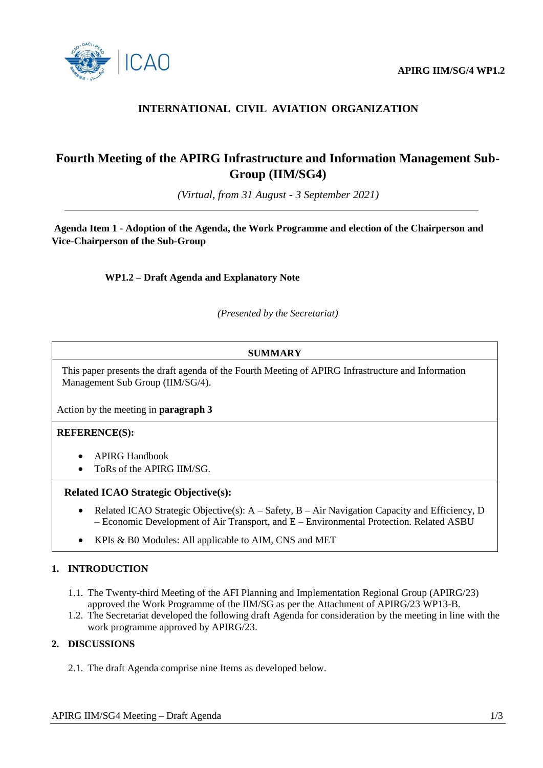

# **INTERNATIONAL CIVIL AVIATION ORGANIZATION**

# **Fourth Meeting of the APIRG Infrastructure and Information Management Sub-Group (IIM/SG4)**

*(Virtual, from 31 August - 3 September 2021)*

**Agenda Item 1 - Adoption of the Agenda, the Work Programme and election of the Chairperson and Vice-Chairperson of the Sub-Group**

**WP1.2 – Draft Agenda and Explanatory Note**

*(Presented by the Secretariat)*

## **SUMMARY**

This paper presents the draft agenda of the Fourth Meeting of APIRG Infrastructure and Information Management Sub Group (IIM/SG/4).

Action by the meeting in **paragraph 3**

#### **REFERENCE(S):**

- APIRG Handbook
- ToRs of the APIRG IIM/SG.

#### **Related ICAO Strategic Objective(s):**

- Related ICAO Strategic Objective(s):  $A S$ afety,  $B Air$  Navigation Capacity and Efficiency, D – Economic Development of Air Transport, and E – Environmental Protection. Related ASBU
- KPIs & B0 Modules: All applicable to AIM, CNS and MET

### **1. INTRODUCTION**

- 1.1. The Twenty-third Meeting of the AFI Planning and Implementation Regional Group (APIRG/23) approved the Work Programme of the IIM/SG as per the Attachment of APIRG/23 WP13-B.
- 1.2. The Secretariat developed the following draft Agenda for consideration by the meeting in line with the work programme approved by APIRG/23.

## **2. DISCUSSIONS**

2.1. The draft Agenda comprise nine Items as developed below.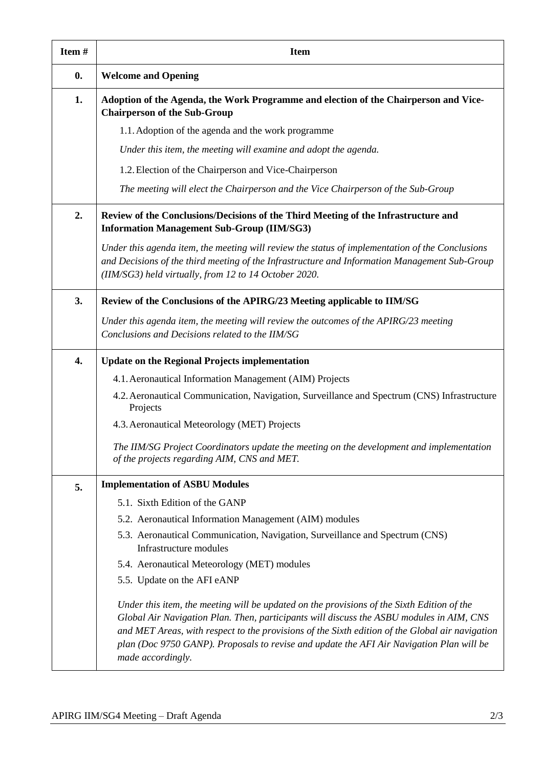| Item#              | <b>Item</b>                                                                                                                                                                                                                                                                                                                                                                                                |
|--------------------|------------------------------------------------------------------------------------------------------------------------------------------------------------------------------------------------------------------------------------------------------------------------------------------------------------------------------------------------------------------------------------------------------------|
| $\boldsymbol{0}$ . | <b>Welcome and Opening</b>                                                                                                                                                                                                                                                                                                                                                                                 |
| 1.                 | Adoption of the Agenda, the Work Programme and election of the Chairperson and Vice-<br><b>Chairperson of the Sub-Group</b>                                                                                                                                                                                                                                                                                |
|                    | 1.1. Adoption of the agenda and the work programme                                                                                                                                                                                                                                                                                                                                                         |
|                    | Under this item, the meeting will examine and adopt the agenda.                                                                                                                                                                                                                                                                                                                                            |
|                    | 1.2. Election of the Chairperson and Vice-Chairperson                                                                                                                                                                                                                                                                                                                                                      |
|                    | The meeting will elect the Chairperson and the Vice Chairperson of the Sub-Group                                                                                                                                                                                                                                                                                                                           |
| 2.                 | Review of the Conclusions/Decisions of the Third Meeting of the Infrastructure and<br><b>Information Management Sub-Group (IIM/SG3)</b>                                                                                                                                                                                                                                                                    |
|                    | Under this agenda item, the meeting will review the status of implementation of the Conclusions<br>and Decisions of the third meeting of the Infrastructure and Information Management Sub-Group<br>(IIM/SG3) held virtually, from 12 to 14 October 2020.                                                                                                                                                  |
| 3.                 | Review of the Conclusions of the APIRG/23 Meeting applicable to IIM/SG                                                                                                                                                                                                                                                                                                                                     |
|                    | Under this agenda item, the meeting will review the outcomes of the $APIRG/23$ meeting<br>Conclusions and Decisions related to the IIM/SG                                                                                                                                                                                                                                                                  |
| 4.                 | <b>Update on the Regional Projects implementation</b>                                                                                                                                                                                                                                                                                                                                                      |
|                    | 4.1. Aeronautical Information Management (AIM) Projects                                                                                                                                                                                                                                                                                                                                                    |
|                    | 4.2. Aeronautical Communication, Navigation, Surveillance and Spectrum (CNS) Infrastructure<br>Projects                                                                                                                                                                                                                                                                                                    |
|                    | 4.3. Aeronautical Meteorology (MET) Projects                                                                                                                                                                                                                                                                                                                                                               |
|                    | The IIM/SG Project Coordinators update the meeting on the development and implementation<br>of the projects regarding AIM, CNS and MET.                                                                                                                                                                                                                                                                    |
| 5.                 | <b>Implementation of ASBU Modules</b>                                                                                                                                                                                                                                                                                                                                                                      |
|                    | 5.1. Sixth Edition of the GANP                                                                                                                                                                                                                                                                                                                                                                             |
|                    | 5.2. Aeronautical Information Management (AIM) modules                                                                                                                                                                                                                                                                                                                                                     |
|                    | 5.3. Aeronautical Communication, Navigation, Surveillance and Spectrum (CNS)<br>Infrastructure modules                                                                                                                                                                                                                                                                                                     |
|                    | 5.4. Aeronautical Meteorology (MET) modules                                                                                                                                                                                                                                                                                                                                                                |
|                    | 5.5. Update on the AFI eANP                                                                                                                                                                                                                                                                                                                                                                                |
|                    | Under this item, the meeting will be updated on the provisions of the Sixth Edition of the<br>Global Air Navigation Plan. Then, participants will discuss the ASBU modules in AIM, CNS<br>and MET Areas, with respect to the provisions of the Sixth edition of the Global air navigation<br>plan (Doc 9750 GANP). Proposals to revise and update the AFI Air Navigation Plan will be<br>made accordingly. |